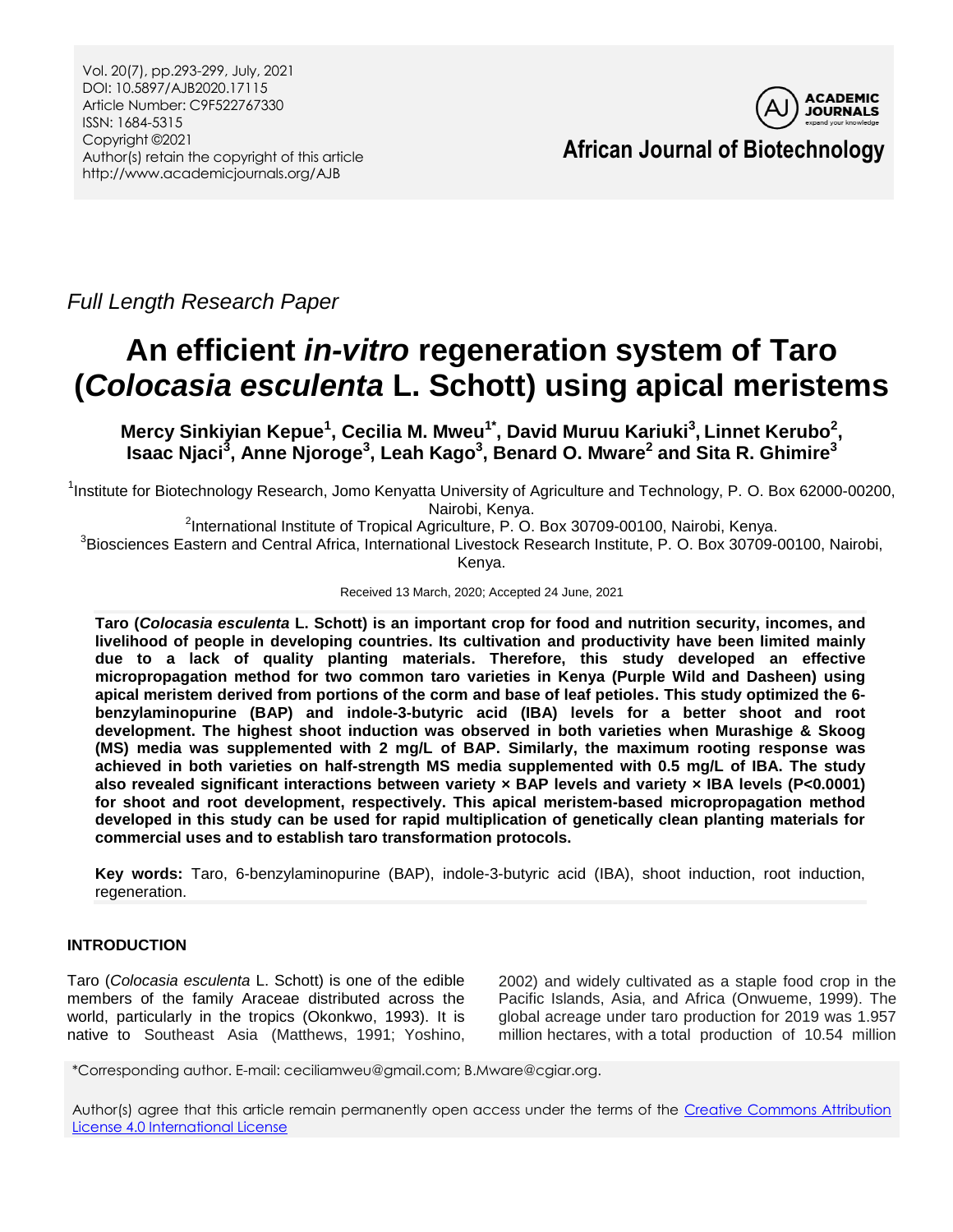Vol. 20(7), pp.293-299, July, 2021 DOI: 10.5897/AJB2020.17115 Article Number: C9F522767330 ISSN: 1684-5315 Copyright ©2021 Author(s) retain the copyright of this article http://www.academicjournals.org/AJB



*Full Length Research Paper*

# **An efficient** *in-vitro* **regeneration system of Taro (***Colocasia esculenta* **L. Schott) using apical meristems**

**Mercy Sinkiyian Kepue<sup>1</sup> , Cecilia M. Mweu1\* , David Muruu Kariuki<sup>3</sup> , Linnet Kerubo<sup>2</sup> , Isaac Njaci<sup>3</sup> , Anne Njoroge<sup>3</sup> , Leah Kago<sup>3</sup> , Benard O. Mware<sup>2</sup> and Sita R. Ghimire<sup>3</sup>**

<sup>1</sup>Institute for Biotechnology Research, Jomo Kenyatta University of Agriculture and Technology, P. O. Box 62000-00200, Nairobi, Kenya.

<sup>2</sup>International Institute of Tropical Agriculture, P. O. Box 30709-00100, Nairobi, Kenya.

3 Biosciences Eastern and Central Africa, International Livestock Research Institute, P. O. Box 30709-00100, Nairobi, Kenya.

Received 13 March, 2020; Accepted 24 June, 2021

**Taro (***Colocasia esculenta* **L. Schott) is an important crop for food and nutrition security, incomes, and livelihood of people in developing countries. Its cultivation and productivity have been limited mainly due to a lack of quality planting materials. Therefore, this study developed an effective micropropagation method for two common taro varieties in Kenya (Purple Wild and Dasheen) using apical meristem derived from portions of the corm and base of leaf petioles. This study optimized the 6 benzylaminopurine (BAP) and indole-3-butyric acid (IBA) levels for a better shoot and root development. The highest shoot induction was observed in both varieties when Murashige & Skoog (MS) media was supplemented with 2 mg/L of BAP. Similarly, the maximum rooting response was achieved in both varieties on half-strength MS media supplemented with 0.5 mg/L of IBA. The study also revealed significant interactions between variety × BAP levels and variety × IBA levels (P<0.0001) for shoot and root development, respectively. This apical meristem-based micropropagation method developed in this study can be used for rapid multiplication of genetically clean planting materials for commercial uses and to establish taro transformation protocols.**

**Key words:** Taro, 6-benzylaminopurine (BAP), indole-3-butyric acid (IBA), shoot induction, root induction, regeneration.

## **INTRODUCTION**

Taro (*Colocasia esculenta* L. Schott) is one of the edible members of the family Araceae distributed across the world, particularly in the tropics (Okonkwo, 1993). It is native to Southeast Asia (Matthews, 1991; Yoshino, 2002) and widely cultivated as a staple food crop in the Pacific Islands, Asia, and Africa (Onwueme, 1999). The global acreage under taro production for 2019 was 1.957 million hectares, with a total production of 10.54 million

\*Corresponding author. E-mail: ceciliamweu@gmail.com; B.Mware@cgiar.org.

Author(s) agree that this article remain permanently open access under the terms of the Creative Commons Attribution [License 4.0 International License](http://creativecommons.org/licenses/by/4.0/deed.en_US)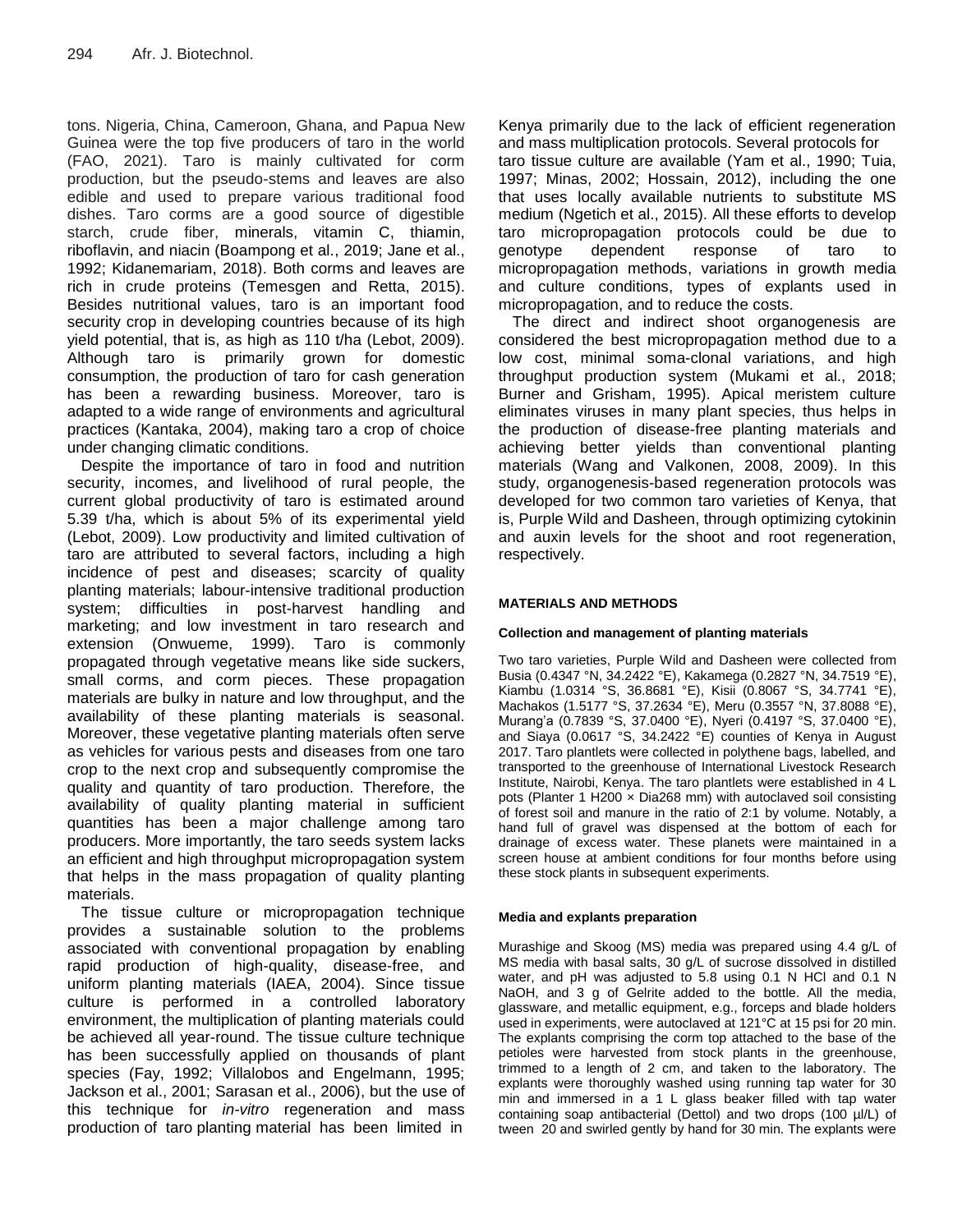tons. Nigeria, China, Cameroon, Ghana, and Papua New Guinea were the top five producers of taro in the world (FAO, 2021). Taro is mainly cultivated for corm production, but the pseudo-stems and leaves are also edible and used to prepare various traditional food dishes. Taro corms are a good source of digestible starch, crude fiber, minerals, vitamin C, thiamin, riboflavin, and niacin (Boampong et al., 2019; Jane et al., 1992; Kidanemariam, 2018). Both corms and leaves are rich in crude proteins (Temesgen and Retta, 2015). Besides nutritional values, taro is an important food security crop in developing countries because of its high yield potential, that is, as high as 110 t/ha (Lebot, 2009). Although taro is primarily grown for domestic consumption, the production of taro for cash generation has been a rewarding business. Moreover, taro is adapted to a wide range of environments and agricultural practices (Kantaka, 2004), making taro a crop of choice under changing climatic conditions.

Despite the importance of taro in food and nutrition security, incomes, and livelihood of rural people, the current global productivity of taro is estimated around 5.39 t/ha, which is about 5% of its experimental yield (Lebot, 2009). Low productivity and limited cultivation of taro are attributed to several factors, including a high incidence of pest and diseases; scarcity of quality planting materials; labour-intensive traditional production system; difficulties in post-harvest handling and marketing; and low investment in taro research and extension (Onwueme, 1999). Taro is commonly propagated through vegetative means like side suckers, small corms, and corm pieces. These propagation materials are bulky in nature and low throughput, and the availability of these planting materials is seasonal. Moreover, these vegetative planting materials often serve as vehicles for various pests and diseases from one taro crop to the next crop and subsequently compromise the quality and quantity of taro production. Therefore, the availability of quality planting material in sufficient quantities has been a major challenge among taro producers. More importantly, the taro seeds system lacks an efficient and high throughput micropropagation system that helps in the mass propagation of quality planting materials.

The tissue culture or micropropagation technique provides a sustainable solution to the problems associated with conventional propagation by enabling rapid production of high-quality, disease-free, and uniform planting materials (IAEA, 2004). Since tissue culture is performed in a controlled laboratory environment, the multiplication of planting materials could be achieved all year-round. The tissue culture technique has been successfully applied on thousands of plant species (Fay, 1992; Villalobos and Engelmann, 1995; Jackson et al., 2001; Sarasan et al., 2006), but the use of this technique for *in-vitro* regeneration and mass production of taro planting material has been limited in

Kenya primarily due to the lack of efficient regeneration and mass multiplication protocols. Several protocols for taro tissue culture are available (Yam et al., 1990; Tuia, 1997; Minas, 2002; Hossain, 2012), including the one that uses locally available nutrients to substitute MS medium (Ngetich et al., 2015). All these efforts to develop taro micropropagation protocols could be due to genotype dependent response of taro to micropropagation methods, variations in growth media and culture conditions, types of explants used in micropropagation, and to reduce the costs.

The direct and indirect shoot organogenesis are considered the best micropropagation method due to a low cost, minimal soma-clonal variations, and high throughput production system (Mukami et al., 2018; Burner and Grisham, 1995). Apical meristem culture eliminates viruses in many plant species, thus helps in the production of disease-free planting materials and achieving better yields than conventional planting materials (Wang and Valkonen, 2008, 2009). In this study, organogenesis-based regeneration protocols was developed for two common taro varieties of Kenya, that is, Purple Wild and Dasheen, through optimizing cytokinin and auxin levels for the shoot and root regeneration, respectively.

## **MATERIALS AND METHODS**

#### **Collection and management of planting materials**

Two taro varieties, Purple Wild and Dasheen were collected from Busia (0.4347 °N, 34.2422 °E), Kakamega (0.2827 °N, 34.7519 °E), Kiambu (1.0314 °S, 36.8681 °E), Kisii (0.8067 °S, 34.7741 °E), Machakos (1.5177 °S, 37.2634 °E), Meru (0.3557 °N, 37.8088 °E), Murang'a (0.7839 °S, 37.0400 °E), Nyeri (0.4197 °S, 37.0400 °E), and Siaya (0.0617 °S, 34.2422 °E) counties of Kenya in August 2017. Taro plantlets were collected in polythene bags, labelled, and transported to the greenhouse of International Livestock Research Institute, Nairobi, Kenya. The taro plantlets were established in 4 L pots (Planter 1 H200 × Dia268 mm) with autoclaved soil consisting of forest soil and manure in the ratio of 2:1 by volume. Notably, a hand full of gravel was dispensed at the bottom of each for drainage of excess water. These planets were maintained in a screen house at ambient conditions for four months before using these stock plants in subsequent experiments.

## **Media and explants preparation**

Murashige and Skoog (MS) media was prepared using 4.4 g/L of MS media with basal salts, 30 g/L of sucrose dissolved in distilled water, and pH was adjusted to 5.8 using 0.1 N HCl and 0.1 N NaOH, and 3 g of Gelrite added to the bottle. All the media, glassware, and metallic equipment, e.g., forceps and blade holders used in experiments, were autoclaved at 121°C at 15 psi for 20 min. The explants comprising the corm top attached to the base of the petioles were harvested from stock plants in the greenhouse, trimmed to a length of 2 cm, and taken to the laboratory. The explants were thoroughly washed using running tap water for 30 min and immersed in a 1 L glass beaker filled with tap water containing soap antibacterial (Dettol) and two drops (100 µl/L) of tween 20 and swirled gently by hand for 30 min. The explants were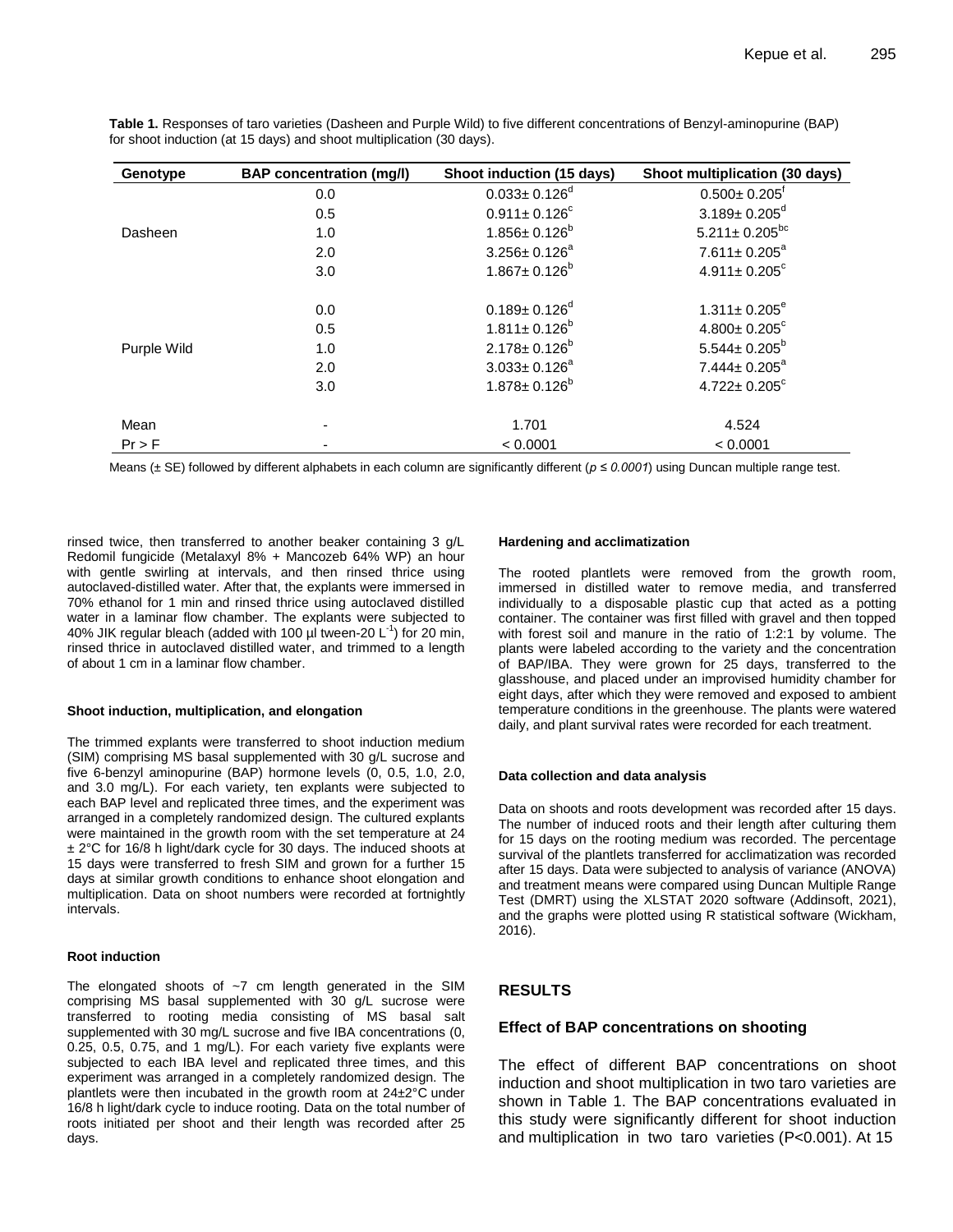| Genotype    | <b>BAP</b> concentration (mg/l) | Shoot induction (15 days)      | Shoot multiplication (30 days) |
|-------------|---------------------------------|--------------------------------|--------------------------------|
|             | 0.0                             | $0.033 \pm 0.126$ <sup>d</sup> | $0.500 \pm 0.205$ <sup>t</sup> |
|             | 0.5                             | $0.911 \pm 0.126^c$            | $3.189 \pm 0.205$ <sup>d</sup> |
| Dasheen     | 1.0                             | $1.856 \pm 0.126^b$            | $5.211 \pm 0.205^{bc}$         |
|             | 2.0                             | $3.256 \pm 0.126^a$            | $7.611 \pm 0.205^a$            |
|             | 3.0                             | $1.867 \pm 0.126^b$            | $4.911 \pm 0.205$ <sup>c</sup> |
| Purple Wild | 0.0                             | $0.189 \pm 0.126^d$            | $1.311 \pm 0.205^e$            |
|             | 0.5                             | $1.811 \pm 0.126^b$            | $4.800 \pm 0.205$ <sup>c</sup> |
|             | 1.0                             | $2.178 \pm 0.126^b$            | $5.544 \pm 0.205^b$            |
|             | 2.0                             | $3.033 \pm 0.126^a$            | $7.444 \pm 0.205^a$            |
|             | 3.0                             | $1.878 \pm 0.126^b$            | $4.722 \pm 0.205$ <sup>c</sup> |
| Mean        |                                 | 1.701                          | 4.524                          |
| $Pr$ > F    |                                 | < 0.0001                       | < 0.0001                       |

**Table 1.** Responses of taro varieties (Dasheen and Purple Wild) to five different concentrations of Benzyl-aminopurine (BAP) for shoot induction (at 15 days) and shoot multiplication (30 days).

Means (± SE) followed by different alphabets in each column are significantly different (*p ≤ 0.0001*) using Duncan multiple range test.

rinsed twice, then transferred to another beaker containing 3 g/L Redomil fungicide (Metalaxyl 8% + Mancozeb 64% WP) an hour with gentle swirling at intervals, and then rinsed thrice using autoclaved-distilled water. After that, the explants were immersed in 70% ethanol for 1 min and rinsed thrice using autoclaved distilled water in a laminar flow chamber. The explants were subjected to 40% JIK regular bleach (added with 100  $\mu$ I tween-20 L<sup>-1</sup>) for 20 min, rinsed thrice in autoclaved distilled water, and trimmed to a length of about 1 cm in a laminar flow chamber.

#### **Shoot induction, multiplication, and elongation**

The trimmed explants were transferred to shoot induction medium (SIM) comprising MS basal supplemented with 30 g/L sucrose and five 6-benzyl aminopurine (BAP) hormone levels (0, 0.5, 1.0, 2.0, and 3.0 mg/L). For each variety, ten explants were subjected to each BAP level and replicated three times, and the experiment was arranged in a completely randomized design. The cultured explants were maintained in the growth room with the set temperature at 24 ± 2°C for 16/8 h light/dark cycle for 30 days. The induced shoots at 15 days were transferred to fresh SIM and grown for a further 15 days at similar growth conditions to enhance shoot elongation and multiplication. Data on shoot numbers were recorded at fortnightly intervals.

#### **Root induction**

The elongated shoots of  $\sim$ 7 cm length generated in the SIM comprising MS basal supplemented with 30 g/L sucrose were transferred to rooting media consisting of MS basal salt supplemented with 30 mg/L sucrose and five IBA concentrations (0, 0.25, 0.5, 0.75, and 1 mg/L). For each variety five explants were subjected to each IBA level and replicated three times, and this experiment was arranged in a completely randomized design. The plantlets were then incubated in the growth room at 24±2°C under 16/8 h light/dark cycle to induce rooting. Data on the total number of roots initiated per shoot and their length was recorded after 25 days.

#### **Hardening and acclimatization**

The rooted plantlets were removed from the growth room, immersed in distilled water to remove media, and transferred individually to a disposable plastic cup that acted as a potting container. The container was first filled with gravel and then topped with forest soil and manure in the ratio of 1:2:1 by volume. The plants were labeled according to the variety and the concentration of BAP/IBA. They were grown for 25 days, transferred to the glasshouse, and placed under an improvised humidity chamber for eight days, after which they were removed and exposed to ambient temperature conditions in the greenhouse. The plants were watered daily, and plant survival rates were recorded for each treatment.

#### **Data collection and data analysis**

Data on shoots and roots development was recorded after 15 days. The number of induced roots and their length after culturing them for 15 days on the rooting medium was recorded. The percentage survival of the plantlets transferred for acclimatization was recorded after 15 days. Data were subjected to analysis of variance (ANOVA) and treatment means were compared using Duncan Multiple Range Test (DMRT) using the XLSTAT 2020 software (Addinsoft, 2021), and the graphs were plotted using R statistical software (Wickham, 2016).

## **RESULTS**

#### **Effect of BAP concentrations on shooting**

The effect of different BAP concentrations on shoot induction and shoot multiplication in two taro varieties are shown in Table 1. The BAP concentrations evaluated in this study were significantly different for shoot induction and multiplication in two taro varieties (P<0.001). At 15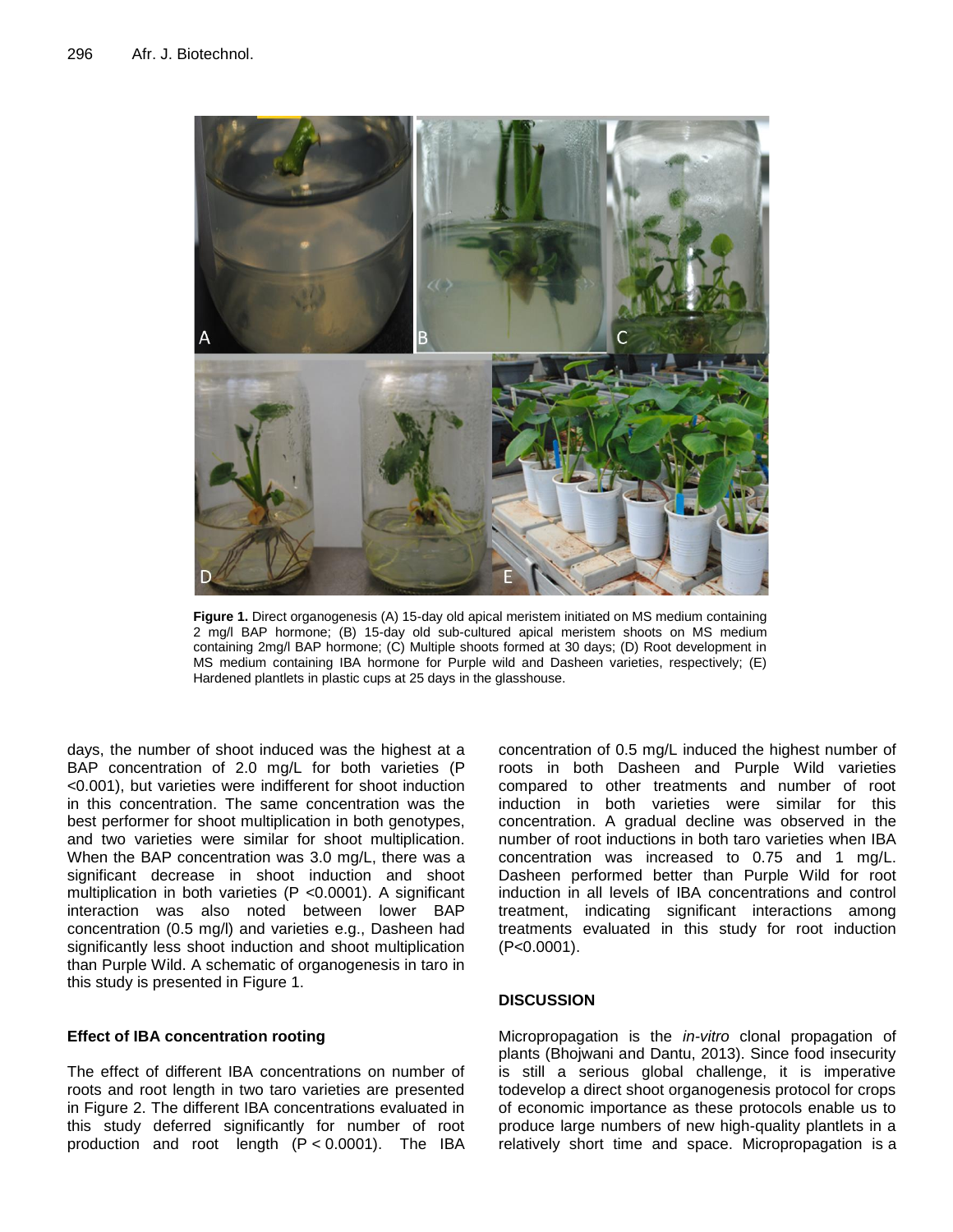

**Figure 1.** Direct organogenesis (A) 15-day old apical meristem initiated on MS medium containing 2 mg/l BAP hormone; (B) 15-day old sub-cultured apical meristem shoots on MS medium containing 2mg/l BAP hormone; (C) Multiple shoots formed at 30 days; (D) Root development in MS medium containing IBA hormone for Purple wild and Dasheen varieties, respectively; (E) Hardened plantlets in plastic cups at 25 days in the glasshouse.

days, the number of shoot induced was the highest at a BAP concentration of 2.0 mg/L for both varieties (P <0.001), but varieties were indifferent for shoot induction in this concentration. The same concentration was the best performer for shoot multiplication in both genotypes, and two varieties were similar for shoot multiplication. When the BAP concentration was 3.0 mg/L, there was a significant decrease in shoot induction and shoot multiplication in both varieties (P <0.0001). A significant interaction was also noted between lower BAP concentration (0.5 mg/l) and varieties e.g., Dasheen had significantly less shoot induction and shoot multiplication than Purple Wild. A schematic of organogenesis in taro in this study is presented in Figure 1.

## **Effect of IBA concentration rooting**

The effect of different IBA concentrations on number of roots and root length in two taro varieties are presented in Figure 2. The different IBA concentrations evaluated in this study deferred significantly for number of root production and root length (P < 0.0001). The IBA

concentration of 0.5 mg/L induced the highest number of roots in both Dasheen and Purple Wild varieties compared to other treatments and number of root induction in both varieties were similar for this concentration. A gradual decline was observed in the number of root inductions in both taro varieties when IBA concentration was increased to 0.75 and 1 mg/L. Dasheen performed better than Purple Wild for root induction in all levels of IBA concentrations and control treatment, indicating significant interactions among treatments evaluated in this study for root induction (P<0.0001).

## **DISCUSSION**

Micropropagation is the *in-vitro* clonal propagation of plants (Bhojwani and Dantu, 2013). Since food insecurity is still a serious global challenge, it is imperative todevelop a direct shoot organogenesis protocol for crops of economic importance as these protocols enable us to produce large numbers of new high-quality plantlets in a relatively short time and space. Micropropagation is a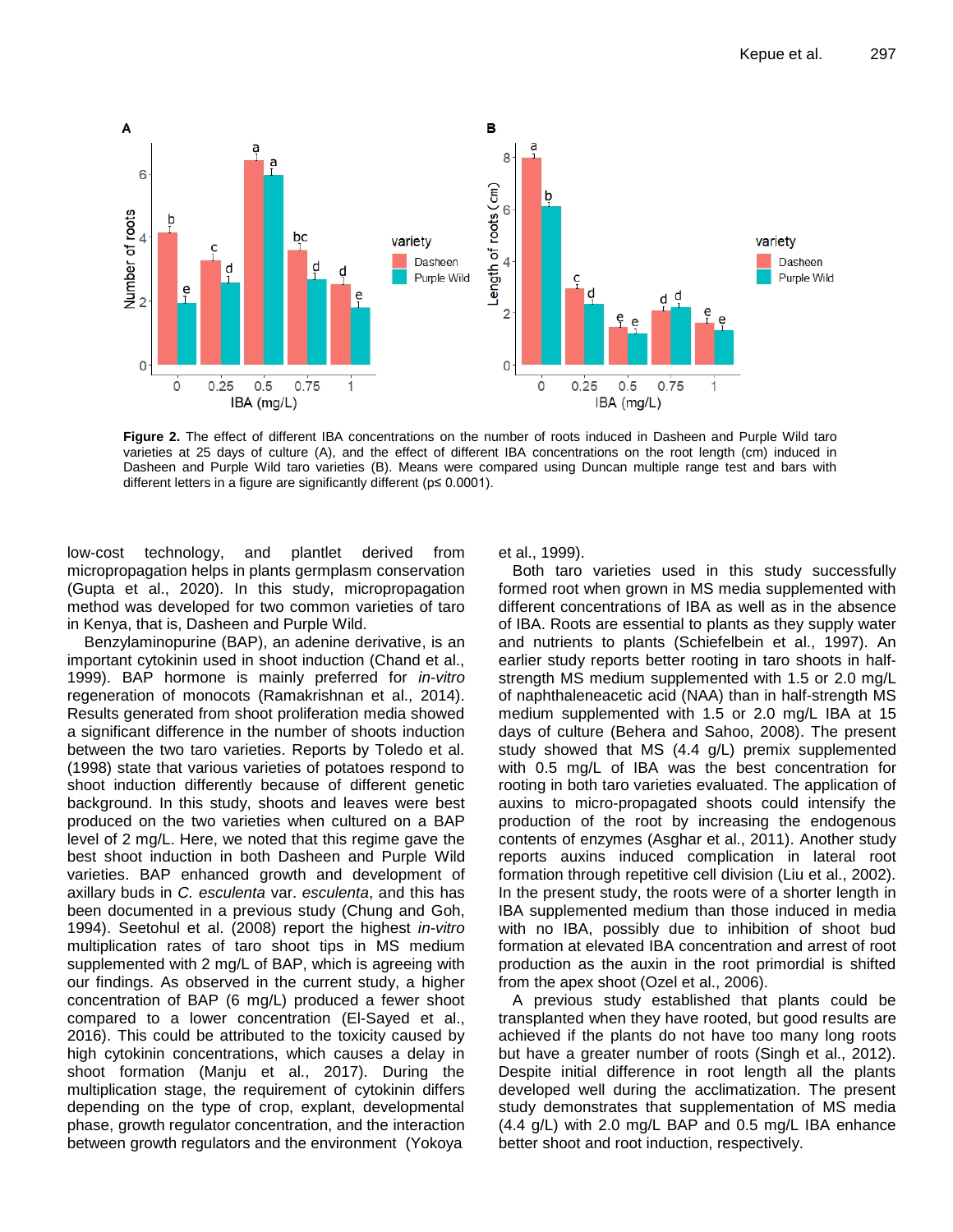

**Figure 2.** The effect of different IBA concentrations on the number of roots induced in Dasheen and Purple Wild taro varieties at 25 days of culture (A), and the effect of different IBA concentrations on the root length (cm) induced in Dasheen and Purple Wild taro varieties (B). Means were compared using Duncan multiple range test and bars with different letters in a figure are significantly different (p≤ 0.0001).

low-cost technology, and plantlet derived from micropropagation helps in plants germplasm conservation (Gupta et al., 2020). In this study, micropropagation method was developed for two common varieties of taro in Kenya, that is, Dasheen and Purple Wild.

 Benzylaminopurine (BAP), an adenine derivative, is an important cytokinin used in shoot induction (Chand et al., 1999). BAP hormone is mainly preferred for *in-vitro* regeneration of monocots (Ramakrishnan et al., 2014). Results generated from shoot proliferation media showed a significant difference in the number of shoots induction between the two taro varieties. Reports by Toledo et al. (1998) state that various varieties of potatoes respond to shoot induction differently because of different genetic background. In this study, shoots and leaves were best produced on the two varieties when cultured on a BAP level of 2 mg/L. Here, we noted that this regime gave the best shoot induction in both Dasheen and Purple Wild varieties. BAP enhanced growth and development of axillary buds in *C. esculenta* var. *esculenta*, and this has been documented in a previous study (Chung and Goh, 1994). Seetohul et al. (2008) report the highest *in-vitro* multiplication rates of taro shoot tips in MS medium supplemented with 2 mg/L of BAP, which is agreeing with our findings. As observed in the current study, a higher concentration of BAP (6 mg/L) produced a fewer shoot compared to a lower concentration (El-Sayed et al., 2016). This could be attributed to the toxicity caused by high cytokinin concentrations, which causes a delay in shoot formation (Manju et al., 2017). During the multiplication stage, the requirement of cytokinin differs depending on the type of crop, explant, developmental phase, growth regulator concentration, and the interaction between growth regulators and the environment (Yokoya

et al., 1999).

Both taro varieties used in this study successfully formed root when grown in MS media supplemented with different concentrations of IBA as well as in the absence of IBA. Roots are essential to plants as they supply water and nutrients to plants (Schiefelbein et al., 1997). An earlier study reports better rooting in taro shoots in halfstrength MS medium supplemented with 1.5 or 2.0 mg/L of naphthaleneacetic acid (NAA) than in half-strength MS medium supplemented with 1.5 or 2.0 mg/L IBA at 15 days of culture (Behera and Sahoo, 2008). The present study showed that MS (4.4 g/L) premix supplemented with 0.5 mg/L of IBA was the best concentration for rooting in both taro varieties evaluated. The application of auxins to micro-propagated shoots could intensify the production of the root by increasing the endogenous contents of enzymes (Asghar et al., 2011). Another study reports auxins induced complication in lateral root formation through repetitive cell division (Liu et al., 2002). In the present study, the roots were of a shorter length in IBA supplemented medium than those induced in media with no IBA, possibly due to inhibition of shoot bud formation at elevated IBA concentration and arrest of root production as the auxin in the root primordial is shifted from the apex shoot (Ozel et al., 2006).

A previous study established that plants could be transplanted when they have rooted, but good results are achieved if the plants do not have too many long roots but have a greater number of roots (Singh et al., 2012). Despite initial difference in root length all the plants developed well during the acclimatization. The present study demonstrates that supplementation of MS media (4.4 g/L) with 2.0 mg/L BAP and 0.5 mg/L IBA enhance better shoot and root induction, respectively.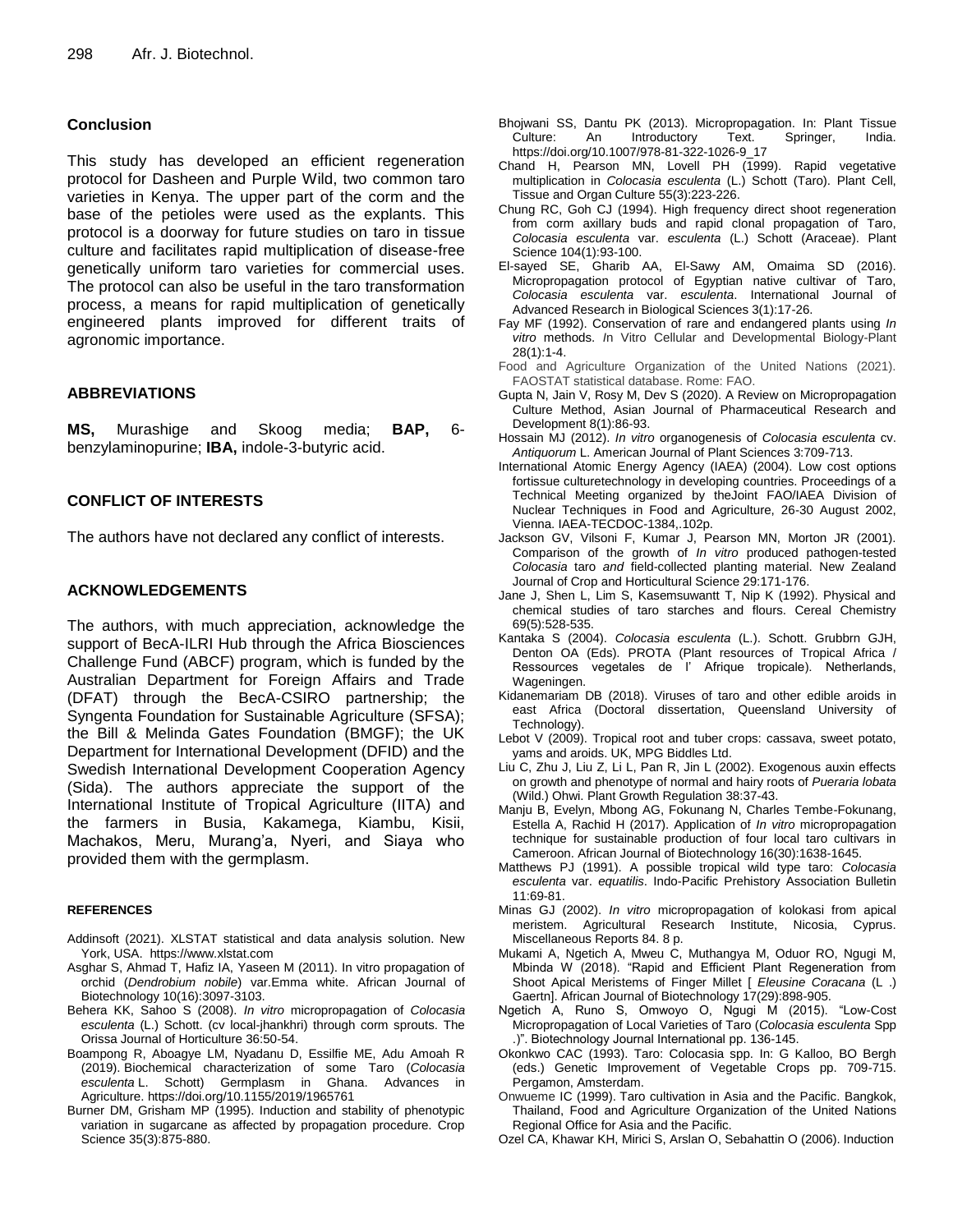#### **Conclusion**

This study has developed an efficient regeneration protocol for Dasheen and Purple Wild, two common taro varieties in Kenya. The upper part of the corm and the base of the petioles were used as the explants. This protocol is a doorway for future studies on taro in tissue culture and facilitates rapid multiplication of disease-free genetically uniform taro varieties for commercial uses. The protocol can also be useful in the taro transformation process, a means for rapid multiplication of genetically engineered plants improved for different traits of agronomic importance.

## **ABBREVIATIONS**

**MS,** Murashige and Skoog media; **BAP,** 6 benzylaminopurine; **IBA,** indole-3-butyric acid.

#### **CONFLICT OF INTERESTS**

The authors have not declared any conflict of interests.

#### **ACKNOWLEDGEMENTS**

The authors, with much appreciation, acknowledge the support of BecA-ILRI Hub through the Africa Biosciences Challenge Fund (ABCF) program, which is funded by the Australian Department for Foreign Affairs and Trade (DFAT) through the BecA-CSIRO partnership; the Syngenta Foundation for Sustainable Agriculture (SFSA); the Bill & Melinda Gates Foundation (BMGF); the UK Department for International Development (DFID) and the Swedish International Development Cooperation Agency (Sida). The authors appreciate the support of the International Institute of Tropical Agriculture (IITA) and the farmers in Busia, Kakamega, Kiambu, Kisii, Machakos, Meru, Murang'a, Nyeri, and Siaya who provided them with the germplasm.

#### **REFERENCES**

- Addinsoft (2021). XLSTAT statistical and data analysis solution. New York, USA. https://www.xlstat.com
- Asghar S, Ahmad T, Hafiz IA, Yaseen M (2011). In vitro propagation of orchid (*Dendrobium nobile*) var.Emma white. African Journal of Biotechnology 10(16):3097-3103.
- Behera KK, Sahoo S (2008). *In vitro* micropropagation of *Colocasia esculenta* (L.) Schott. (cv local-jhankhri) through corm sprouts. The Orissa Journal of Horticulture 36:50-54.
- Boampong R, Aboagye LM, Nyadanu D, Essilfie ME, Adu Amoah R (2019). Biochemical characterization of some Taro (*Colocasia esculenta* L. Schott) Germplasm in Ghana. Advances in Agriculture. https://doi.org/10.1155/2019/1965761
- Burner DM, Grisham MP (1995). Induction and stability of phenotypic variation in sugarcane as affected by propagation procedure. Crop Science 35(3):875-880.
- Bhojwani SS, Dantu PK (2013). Micropropagation. In: Plant Tissue Culture: An Introductory Text. Springer, India. https://doi.org/10.1007/978-81-322-1026-9\_17
- Chand H, Pearson MN, Lovell PH (1999). Rapid vegetative multiplication in *Colocasia esculenta* (L.) Schott (Taro). Plant Cell, Tissue and Organ Culture 55(3):223-226.
- Chung RC, Goh CJ (1994). High frequency direct shoot regeneration from corm axillary buds and rapid clonal propagation of Taro, *Colocasia esculenta* var. *esculenta* (L.) Schott (Araceae). Plant Science 104(1):93-100.
- El-sayed SE, Gharib AA, El-Sawy AM, Omaima SD (2016). Micropropagation protocol of Egyptian native cultivar of Taro, *Colocasia esculenta* var. *esculenta*. International Journal of Advanced Research in Biological Sciences 3(1):17-26.
- Fay MF (1992). Conservation of rare and endangered plants using *In vitro* methods. *I*n Vitro Cellular and Developmental Biology-Plant 28(1):1-4.
- Food and Agriculture Organization of the United Nations (2021). FAOSTAT statistical database. Rome: FAO.
- Gupta N, Jain V, Rosy M, Dev S (2020). A Review on Micropropagation Culture Method, Asian Journal of Pharmaceutical Research and Development 8(1):86-93.
- Hossain MJ (2012). *In vitro* organogenesis of *Colocasia esculenta* cv. *Antiquorum* L. American Journal of Plant Sciences 3:709-713.
- International Atomic Energy Agency (IAEA) (2004). Low cost options fortissue culturetechnology in developing countries. Proceedings of a Technical Meeting organized by theJoint FAO/IAEA Division of Nuclear Techniques in Food and Agriculture, 26-30 August 2002, Vienna. IAEA-TECDOC-1384,.102p.
- Jackson GV, Vilsoni F, Kumar J, Pearson MN, Morton JR (2001). Comparison of the growth of *In vitro* produced pathogen-tested *Colocasia* taro *and* field-collected planting material. New Zealand Journal of Crop and Horticultural Science 29:171-176.
- Jane J, Shen L, Lim S, Kasemsuwantt T, Nip K (1992). Physical and chemical studies of taro starches and flours. Cereal Chemistry 69(5):528-535.
- Kantaka S (2004). *Colocasia esculenta* (L.). Schott. Grubbrn GJH, Denton OA (Eds). PROTA (Plant resources of Tropical Africa / Ressources vegetales de l' Afrique tropicale). Netherlands, Wageningen.
- Kidanemariam DB (2018). Viruses of taro and other edible aroids in east Africa (Doctoral dissertation, Queensland University of Technology).
- Lebot V (2009). Tropical root and tuber crops: cassava, sweet potato, yams and aroids. UK, MPG Biddles Ltd.
- Liu C, Zhu J, Liu Z, Li L, Pan R, Jin L (2002). Exogenous auxin effects on growth and phenotype of normal and hairy roots of *Pueraria lobata* (Wild.) Ohwi. Plant Growth Regulation 38:37-43.
- Manju B, Evelyn, Mbong AG, Fokunang N, Charles Tembe-Fokunang, Estella A, Rachid H (2017). Application of *In vitro* micropropagation technique for sustainable production of four local taro cultivars in Cameroon. African Journal of Biotechnology 16(30):1638-1645.
- Matthews PJ (1991). A possible tropical wild type taro: *Colocasia esculenta* var. *equatilis*. Indo-Pacific Prehistory Association Bulletin 11:69-81.
- Minas GJ (2002). *In vitro* micropropagation of kolokasi from apical meristem. Agricultural Research Institute, Nicosia, Cyprus. Miscellaneous Reports 84. 8 p.
- Mukami A, Ngetich A, Mweu C, Muthangya M, Oduor RO, Ngugi M, Mbinda W (2018). "Rapid and Efficient Plant Regeneration from Shoot Apical Meristems of Finger Millet [ *Eleusine Coracana* (L .) Gaertn]. African Journal of Biotechnology 17(29):898-905.
- Ngetich A, Runo S, Omwoyo O, Ngugi M (2015). "Low-Cost Micropropagation of Local Varieties of Taro (*Colocasia esculenta* Spp .)". Biotechnology Journal International pp. 136-145.
- Okonkwo CAC (1993). Taro: Colocasia spp. In: G Kalloo, BO Bergh (eds.) Genetic Improvement of Vegetable Crops pp. 709-715. Pergamon, Amsterdam.
- Onwueme IC (1999). Taro cultivation in Asia and the Pacific. Bangkok, Thailand, Food and Agriculture Organization of the United Nations Regional Office for Asia and the Pacific.
- Ozel CA, Khawar KH, Mirici S, Arslan O, Sebahattin O (2006). Induction